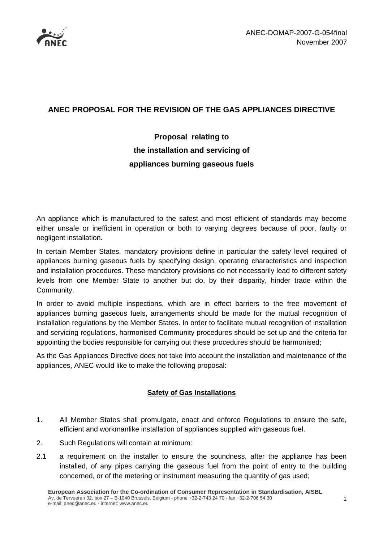

## **ANEC PROPOSAL FOR THE REVISION OF THE GAS APPLIANCES DIRECTIVE**

# **Proposal relating to the installation and servicing of appliances burning gaseous fuels**

An appliance which is manufactured to the safest and most efficient of standards may become either unsafe or inefficient in operation or both to varying degrees because of poor, faulty or negligent installation.

In certain Member States, mandatory provisions define in particular the safety level required of appliances burning gaseous fuels by specifying design, operating characteristics and inspection and installation procedures. These mandatory provisions do not necessarily lead to different safety levels from one Member State to another but do, by their disparity, hinder trade within the Community.

In order to avoid multiple inspections, which are in effect barriers to the free movement of appliances burning gaseous fuels, arrangements should be made for the mutual recognition of installation regulations by the Member States. In order to facilitate mutual recognition of installation and servicing regulations, harmonised Community procedures should be set up and the criteria for appointing the bodies responsible for carrying out these procedures should be harmonised;

As the Gas Appliances Directive does not take into account the installation and maintenance of the appliances, ANEC would like to make the following proposal:

### **Safety of Gas Installations**

- 1. All Member States shall promulgate, enact and enforce Regulations to ensure the safe, efficient and workmanlike installation of appliances supplied with gaseous fuel.
- 2. Such Regulations will contain at minimum:
- 2.1 a requirement on the installer to ensure the soundness, after the appliance has been installed, of any pipes carrying the gaseous fuel from the point of entry to the building concerned, or of the metering or instrument measuring the quantity of gas used;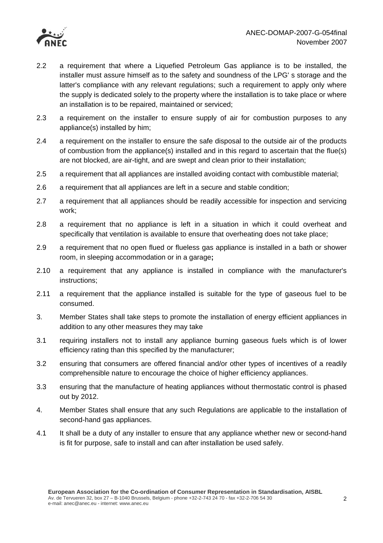

- 2.2 a requirement that where a Liquefied Petroleum Gas appliance is to be installed, the installer must assure himself as to the safety and soundness of the LPG' s storage and the latter's compliance with any relevant regulations; such a requirement to apply only where the supply is dedicated solely to the property where the installation is to take place or where an installation is to be repaired, maintained or serviced;
- 2.3 a requirement on the installer to ensure supply of air for combustion purposes to any appliance(s) installed by him;
- 2.4 a requirement on the installer to ensure the safe disposal to the outside air of the products of combustion from the appliance(s) installed and in this regard to ascertain that the flue(s) are not blocked, are air-tight, and are swept and clean prior to their installation;
- 2.5 a requirement that all appliances are installed avoiding contact with combustible material;
- 2.6 a requirement that all appliances are left in a secure and stable condition;
- 2.7 a requirement that all appliances should be readily accessible for inspection and servicing work;
- 2.8 a requirement that no appliance is left in a situation in which it could overheat and specifically that ventilation is available to ensure that overheating does not take place;
- 2.9 a requirement that no open flued or flueless gas appliance is installed in a bath or shower room, in sleeping accommodation or in a garage**;**
- 2.10 a requirement that any appliance is installed in compliance with the manufacturer's instructions;
- 2.11 a requirement that the appliance installed is suitable for the type of gaseous fuel to be consumed.
- 3. Member States shall take steps to promote the installation of energy efficient appliances in addition to any other measures they may take
- 3.1 requiring installers not to install any appliance burning gaseous fuels which is of lower efficiency rating than this specified by the manufacturer;
- 3.2 ensuring that consumers are offered financial and/or other types of incentives of a readily comprehensible nature to encourage the choice of higher efficiency appliances.
- 3.3 ensuring that the manufacture of heating appliances without thermostatic control is phased out by 2012.
- 4. Member States shall ensure that any such Regulations are applicable to the installation of second-hand gas appliances.
- 4.1 It shall be a duty of any installer to ensure that any appliance whether new or second-hand is fit for purpose, safe to install and can after installation be used safely.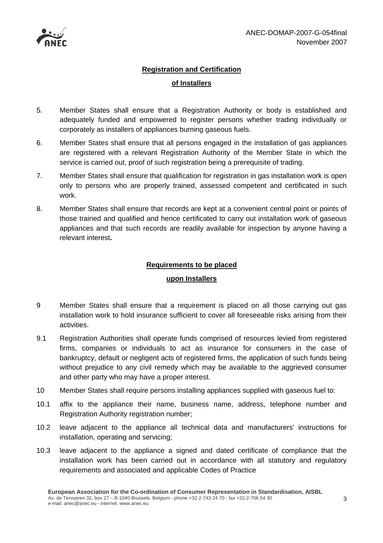

# **Registration and Certification of Installers**

- 5. Member States shall ensure that a Registration Authority or body is established and adequately funded and empowered to register persons whether trading individually or corporately as installers of appliances burning gaseous fuels.
- 6. Member States shall ensure that all persons engaged in the installation of gas appliances are registered with a relevant Registration Authority of the Member State in which the service is carried out, proof of such registration being a prerequisite of trading.
- 7. Member States shall ensure that qualification for registration in gas installation work is open only to persons who are properly trained, assessed competent and certificated in such work.
- 8. Member States shall ensure that records are kept at a convenient central point or points of those trained and qualified and hence certificated to carry out installation work of gaseous appliances and that such records are readily available for inspection by anyone having a relevant interest**.**

#### **Requirements to be placed**

#### **upon Installers**

- 9 Member States shall ensure that a requirement is placed on all those carrying out gas installation work to hold insurance sufficient to cover all foreseeable risks arising from their activities.
- 9.1 Registration Authorities shall operate funds comprised of resources levied from registered firms, companies or individuals to act as insurance for consumers in the case of bankruptcy, default or negligent acts of registered firms, the application of such funds being without prejudice to any civil remedy which may be available to the aggrieved consumer and other party who may have a proper interest.
- 10 Member States shall require persons installing appliances supplied with gaseous fuel to:
- 10.1 affix to the appliance their name, business name, address, telephone number and Registration Authority registration number;
- 10.2 leave adjacent to the appliance all technical data and manufacturers' instructions for installation, operating and servicing;
- 10.3 leave adjacent to the appliance a signed and dated certificate of compliance that the installation work has been carried out in accordance with all statutory and regulatory requirements and associated and applicable Codes of Practice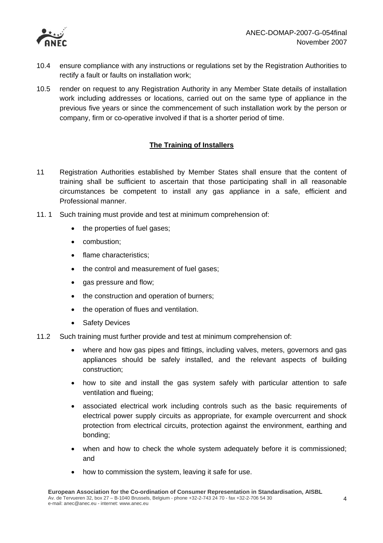

- 10.4 ensure compliance with any instructions or regulations set by the Registration Authorities to rectify a fault or faults on installation work;
- 10.5 render on request to any Registration Authority in any Member State details of installation work including addresses or locations, carried out on the same type of appliance in the previous five years or since the commencement of such installation work by the person or company, firm or co-operative involved if that is a shorter period of time.

#### **The Training of Installers**

- 11 Registration Authorities established by Member States shall ensure that the content of training shall be sufficient to ascertain that those participating shall in all reasonable circumstances be competent to install any gas appliance in a safe, efficient and Professional manner.
- 11. 1 Such training must provide and test at minimum comprehension of:
	- the properties of fuel gases;
	- combustion;
	- flame characteristics;
	- the control and measurement of fuel gases;
	- gas pressure and flow;
	- the construction and operation of burners;
	- the operation of flues and ventilation.
	- Safety Devices
- 11.2 Such training must further provide and test at minimum comprehension of:
	- where and how gas pipes and fittings, including valves, meters, governors and gas appliances should be safely installed, and the relevant aspects of building construction;
	- how to site and install the gas system safely with particular attention to safe ventilation and flueing;
	- associated electrical work including controls such as the basic requirements of electrical power supply circuits as appropriate, for example overcurrent and shock protection from electrical circuits, protection against the environment, earthing and bonding;
	- when and how to check the whole system adequately before it is commissioned; and
	- how to commission the system, leaving it safe for use.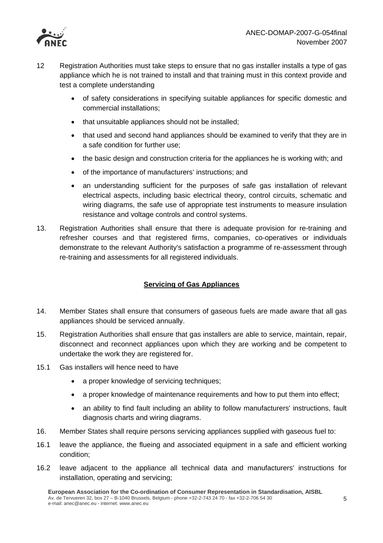

- 12 Registration Authorities must take steps to ensure that no gas installer installs a type of gas appliance which he is not trained to install and that training must in this context provide and test a complete understanding
	- of safety considerations in specifying suitable appliances for specific domestic and commercial installations;
	- that unsuitable appliances should not be installed;
	- that used and second hand appliances should be examined to verify that they are in a safe condition for further use;
	- the basic design and construction criteria for the appliances he is working with; and
	- of the importance of manufacturers' instructions; and
	- an understanding sufficient for the purposes of safe gas installation of relevant electrical aspects, including basic electrical theory, control circuits, schematic and wiring diagrams, the safe use of appropriate test instruments to measure insulation resistance and voltage controls and control systems.
- 13. Registration Authorities shall ensure that there is adequate provision for re-training and refresher courses and that registered firms, companies, co-operatives or individuals demonstrate to the relevant Authority's satisfaction a programme of re-assessment through re-training and assessments for all registered individuals.

#### **Servicing of Gas Appliances**

- 14. Member States shall ensure that consumers of gaseous fuels are made aware that all gas appliances should be serviced annually.
- 15. Registration Authorities shall ensure that gas installers are able to service, maintain, repair, disconnect and reconnect appliances upon which they are working and be competent to undertake the work they are registered for.
- 15.1 Gas installers will hence need to have
	- a proper knowledge of servicing techniques;
	- a proper knowledge of maintenance requirements and how to put them into effect;
	- an ability to find fault including an ability to follow manufacturers' instructions, fault diagnosis charts and wiring diagrams.
- 16. Member States shall require persons servicing appliances supplied with gaseous fuel to:
- 16.1 leave the appliance, the flueing and associated equipment in a safe and efficient working condition;
- 16.2 leave adjacent to the appliance all technical data and manufacturers' instructions for installation, operating and servicing;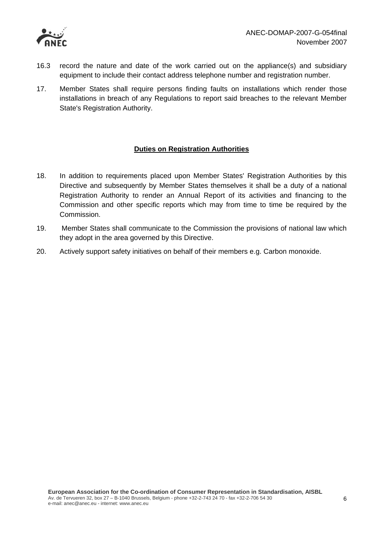

- 16.3 record the nature and date of the work carried out on the appliance(s) and subsidiary equipment to include their contact address telephone number and registration number.
- 17. Member States shall require persons finding faults on installations which render those installations in breach of any Regulations to report said breaches to the relevant Member State's Registration Authority.

#### **Duties on Registration Authorities**

- 18. In addition to requirements placed upon Member States' Registration Authorities by this Directive and subsequently by Member States themselves it shall be a duty of a national Registration Authority to render an Annual Report of its activities and financing to the Commission and other specific reports which may from time to time be required by the Commission.
- 19. Member States shall communicate to the Commission the provisions of national law which they adopt in the area governed by this Directive.
- 20. Actively support safety initiatives on behalf of their members e.g. Carbon monoxide.